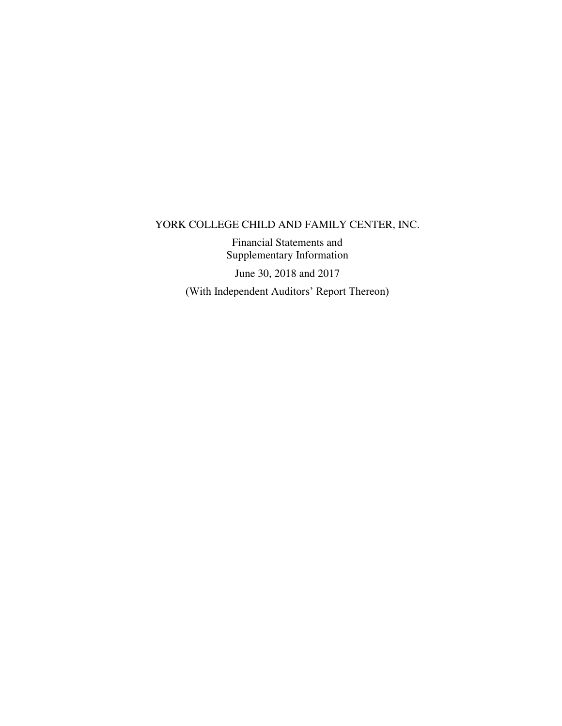Financial Statements and Supplementary Information June 30, 2018 and 2017

(With Independent Auditors' Report Thereon)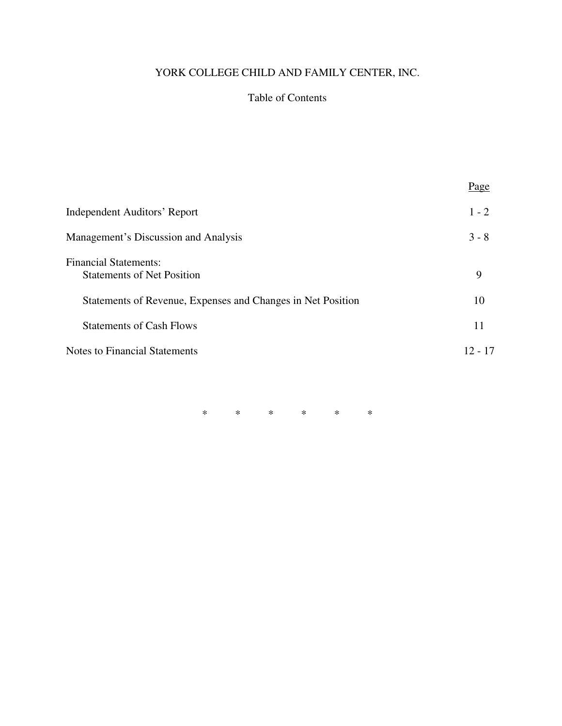# Table of Contents

|                                                                   | Page      |
|-------------------------------------------------------------------|-----------|
| <b>Independent Auditors' Report</b>                               | $1 - 2$   |
| Management's Discussion and Analysis                              | $3 - 8$   |
| <b>Financial Statements:</b><br><b>Statements of Net Position</b> | 9         |
| Statements of Revenue, Expenses and Changes in Net Position       | 10        |
| <b>Statements of Cash Flows</b>                                   | 11        |
| <b>Notes to Financial Statements</b>                              | $12 - 17$ |
|                                                                   |           |

\* \* \* \* \* \*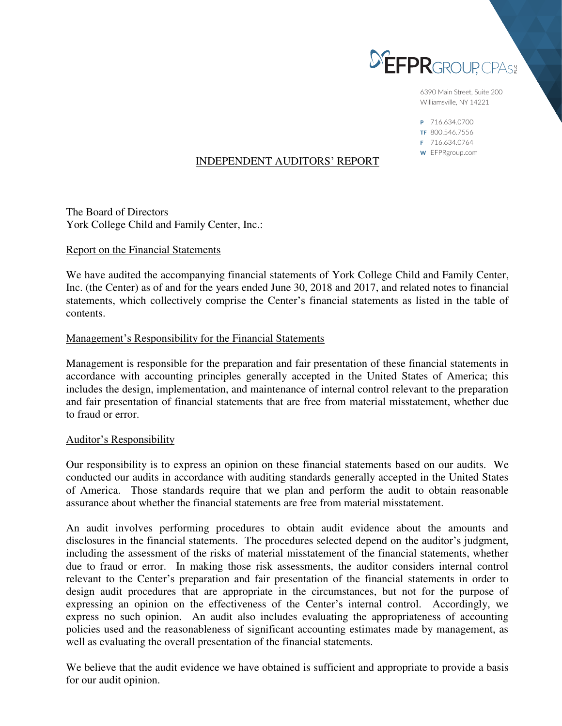

6390 Main Street, Suite 200 Williamsville, NY 14221

P 716.634.0700 TF 800.546.7556 F 716.634.0764 W EFPRgroup.com

# INDEPENDENT AUDITORS' REPORT

The Board of Directors York College Child and Family Center, Inc.:

#### Report on the Financial Statements

We have audited the accompanying financial statements of York College Child and Family Center, Inc. (the Center) as of and for the years ended June 30, 2018 and 2017, and related notes to financial statements, which collectively comprise the Center's financial statements as listed in the table of contents.

#### Management's Responsibility for the Financial Statements

Management is responsible for the preparation and fair presentation of these financial statements in accordance with accounting principles generally accepted in the United States of America; this includes the design, implementation, and maintenance of internal control relevant to the preparation and fair presentation of financial statements that are free from material misstatement, whether due to fraud or error.

#### Auditor's Responsibility

Our responsibility is to express an opinion on these financial statements based on our audits. We conducted our audits in accordance with auditing standards generally accepted in the United States of America. Those standards require that we plan and perform the audit to obtain reasonable assurance about whether the financial statements are free from material misstatement.

An audit involves performing procedures to obtain audit evidence about the amounts and disclosures in the financial statements. The procedures selected depend on the auditor's judgment, including the assessment of the risks of material misstatement of the financial statements, whether due to fraud or error. In making those risk assessments, the auditor considers internal control relevant to the Center's preparation and fair presentation of the financial statements in order to design audit procedures that are appropriate in the circumstances, but not for the purpose of expressing an opinion on the effectiveness of the Center's internal control. Accordingly, we express no such opinion. An audit also includes evaluating the appropriateness of accounting policies used and the reasonableness of significant accounting estimates made by management, as well as evaluating the overall presentation of the financial statements.

We believe that the audit evidence we have obtained is sufficient and appropriate to provide a basis for our audit opinion.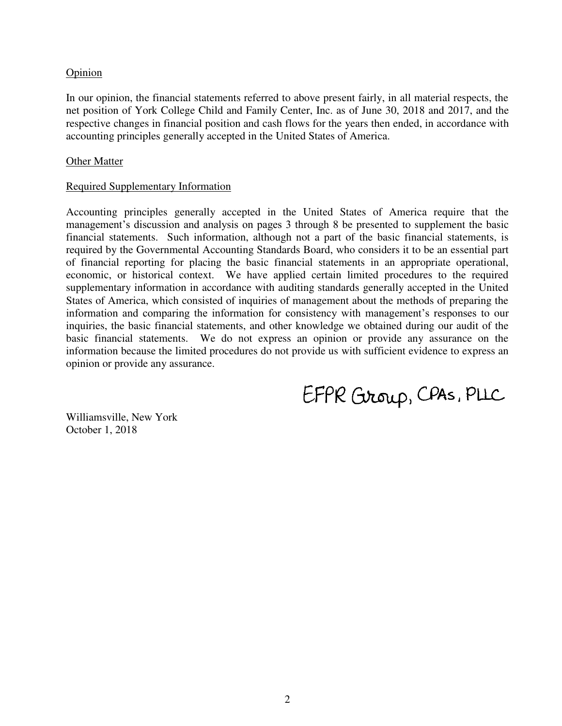## **Opinion**

In our opinion, the financial statements referred to above present fairly, in all material respects, the net position of York College Child and Family Center, Inc. as of June 30, 2018 and 2017, and the respective changes in financial position and cash flows for the years then ended, in accordance with accounting principles generally accepted in the United States of America.

## Other Matter

## Required Supplementary Information

Accounting principles generally accepted in the United States of America require that the management's discussion and analysis on pages 3 through 8 be presented to supplement the basic financial statements. Such information, although not a part of the basic financial statements, is required by the Governmental Accounting Standards Board, who considers it to be an essential part of financial reporting for placing the basic financial statements in an appropriate operational, economic, or historical context. We have applied certain limited procedures to the required supplementary information in accordance with auditing standards generally accepted in the United States of America, which consisted of inquiries of management about the methods of preparing the information and comparing the information for consistency with management's responses to our inquiries, the basic financial statements, and other knowledge we obtained during our audit of the basic financial statements. We do not express an opinion or provide any assurance on the information because the limited procedures do not provide us with sufficient evidence to express an opinion or provide any assurance.

EFPR Group, CPAS, PLLC

Williamsville, New York October 1, 2018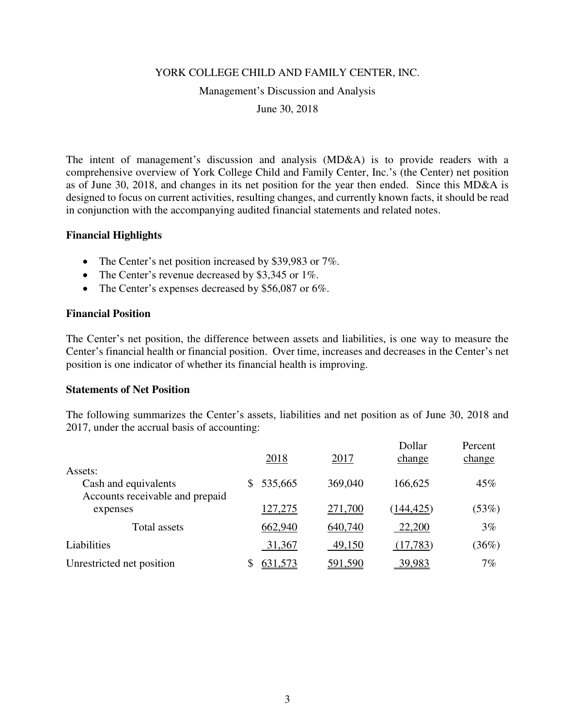Management's Discussion and Analysis

June 30, 2018

The intent of management's discussion and analysis (MD&A) is to provide readers with a comprehensive overview of York College Child and Family Center, Inc.'s (the Center) net position as of June 30, 2018, and changes in its net position for the year then ended. Since this MD&A is designed to focus on current activities, resulting changes, and currently known facts, it should be read in conjunction with the accompanying audited financial statements and related notes.

#### **Financial Highlights**

- The Center's net position increased by \$39,983 or 7%.
- The Center's revenue decreased by \$3,345 or 1%.
- The Center's expenses decreased by \$56,087 or 6%.

#### **Financial Position**

The Center's net position, the difference between assets and liabilities, is one way to measure the Center's financial health or financial position. Over time, increases and decreases in the Center's net position is one indicator of whether its financial health is improving.

#### **Statements of Net Position**

The following summarizes the Center's assets, liabilities and net position as of June 30, 2018 and 2017, under the accrual basis of accounting:

|                                                         | <u>2018</u> | 2017    | Dollar<br>change | Percent<br>change |
|---------------------------------------------------------|-------------|---------|------------------|-------------------|
| Assets:                                                 |             |         |                  |                   |
| Cash and equivalents<br>Accounts receivable and prepaid | 535,665     | 369,040 | 166,625          | 45%               |
| expenses                                                | 127,275     | 271,700 | (144, 425)       | (53%)             |
| Total assets                                            | 662,940     | 640,740 | 22,200           | 3%                |
| Liabilities                                             | 31,367      | 49,150  | (17,783)         | (36%)             |
| Unrestricted net position                               | 631,573     | 591,590 | 39,983           | 7%                |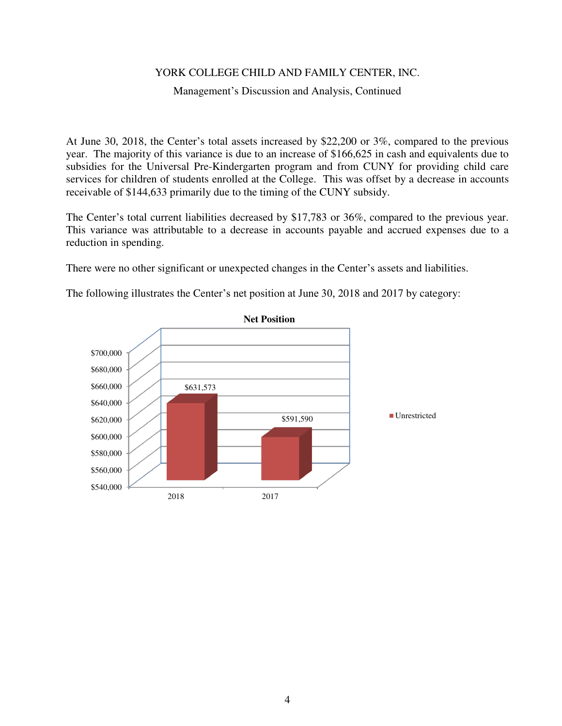Management's Discussion and Analysis, Continued

At June 30, 2018, the Center's total assets increased by \$22,200 or 3%, compared to the previous year. The majority of this variance is due to an increase of \$166,625 in cash and equivalents due to subsidies for the Universal Pre-Kindergarten program and from CUNY for providing child care services for children of students enrolled at the College. This was offset by a decrease in accounts receivable of \$144,633 primarily due to the timing of the CUNY subsidy.

The Center's total current liabilities decreased by \$17,783 or 36%, compared to the previous year. This variance was attributable to a decrease in accounts payable and accrued expenses due to a reduction in spending.

There were no other significant or unexpected changes in the Center's assets and liabilities.



The following illustrates the Center's net position at June 30, 2018 and 2017 by category: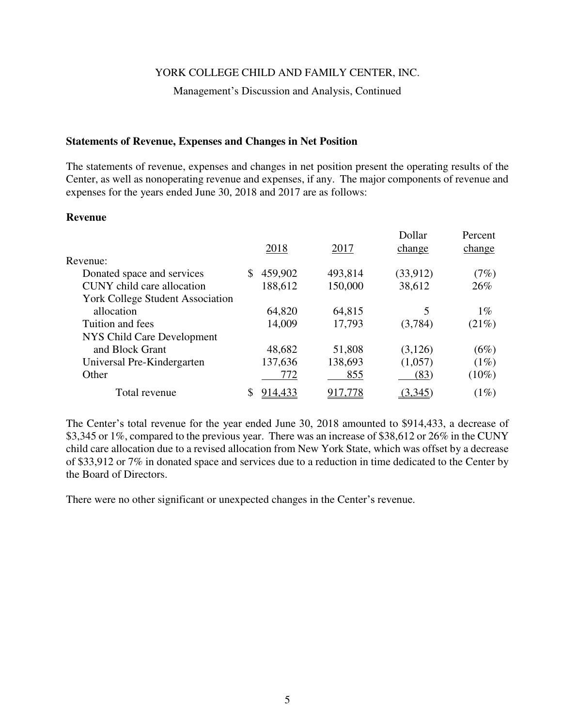## Management's Discussion and Analysis, Continued

#### **Statements of Revenue, Expenses and Changes in Net Position**

The statements of revenue, expenses and changes in net position present the operating results of the Center, as well as nonoperating revenue and expenses, if any. The major components of revenue and expenses for the years ended June 30, 2018 and 2017 are as follows:

## **Revenue**

| 2018         | 2017    | Dollar<br>change | Percent<br>change |
|--------------|---------|------------------|-------------------|
|              |         |                  |                   |
| 459,902<br>S | 493,814 | (33,912)         | (7%)              |
| 188,612      | 150,000 | 38,612           | 26%               |
|              |         |                  |                   |
| 64,820       | 64,815  | 5                | $1\%$             |
| 14,009       | 17,793  | (3,784)          | (21%)             |
|              |         |                  |                   |
| 48,682       | 51,808  | (3,126)          | (6%)              |
| 137,636      | 138,693 | (1,057)          | (1%)              |
| 772          | 855     | (83)             | $(10\%)$          |
| 914,433      | 917,778 | (3,345)          | (1%)              |
|              |         |                  |                   |

The Center's total revenue for the year ended June 30, 2018 amounted to \$914,433, a decrease of \$3,345 or 1%, compared to the previous year. There was an increase of \$38,612 or 26% in the CUNY child care allocation due to a revised allocation from New York State, which was offset by a decrease of \$33,912 or 7% in donated space and services due to a reduction in time dedicated to the Center by the Board of Directors.

There were no other significant or unexpected changes in the Center's revenue.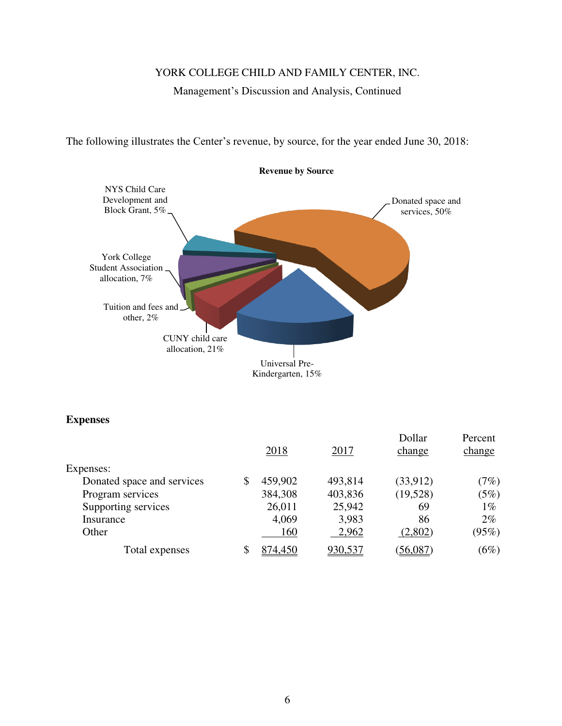Management's Discussion and Analysis, Continued

The following illustrates the Center's revenue, by source, for the year ended June 30, 2018:



**Expenses** 

|                            | 2018          | 2017    | Dollar<br>change | Percent<br>change |
|----------------------------|---------------|---------|------------------|-------------------|
| Expenses:                  |               |         |                  |                   |
| Donated space and services | \$<br>459,902 | 493,814 | (33,912)         | (7%)              |
| Program services           | 384,308       | 403,836 | (19,528)         | (5%)              |
| Supporting services        | 26,011        | 25,942  | 69               | $1\%$             |
| Insurance                  | 4,069         | 3,983   | 86               | $2\%$             |
| Other                      | 160           | 2,962   | (2,802)          | (95%)             |
| Total expenses             | 874,450       | 930,537 | (56,087)         | $(6\%)$           |

#### **Revenue by Source**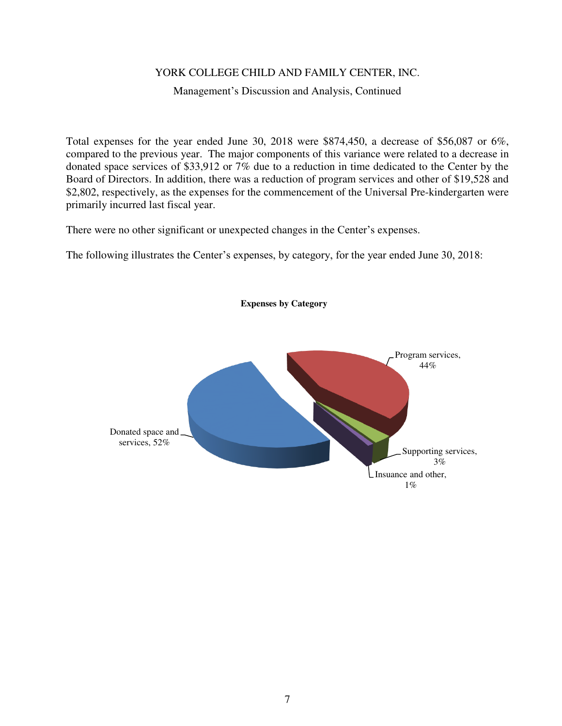Management's Discussion and Analysis, Continued

Total expenses for the year ended June 30, 2018 were \$874,450, a decrease of \$56,087 or 6%, compared to the previous year. The major components of this variance were related to a decrease in donated space services of \$33,912 or 7% due to a reduction in time dedicated to the Center by the Board of Directors. In addition, there was a reduction of program services and other of \$19,528 and \$2,802, respectively, as the expenses for the commencement of the Universal Pre-kindergarten were primarily incurred last fiscal year.

There were no other significant or unexpected changes in the Center's expenses.

The following illustrates the Center's expenses, by category, for the year ended June 30, 2018:

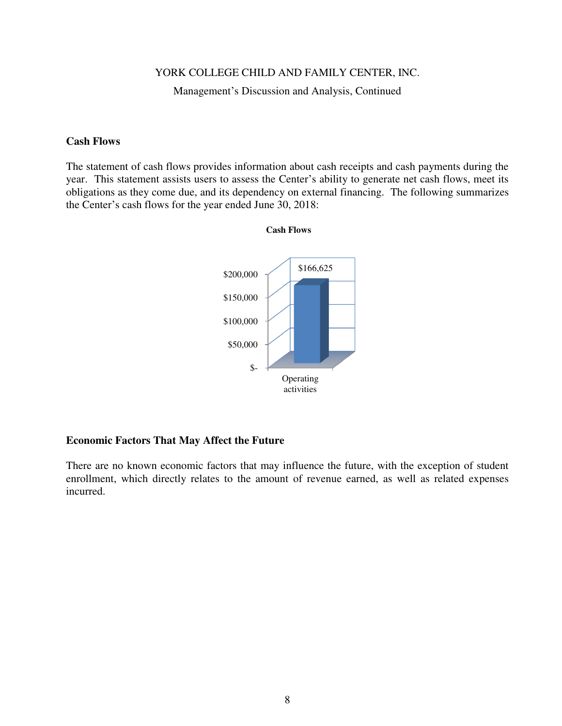Management's Discussion and Analysis, Continued

## **Cash Flows**

The statement of cash flows provides information about cash receipts and cash payments during the year. This statement assists users to assess the Center's ability to generate net cash flows, meet its obligations as they come due, and its dependency on external financing. The following summarizes the Center's cash flows for the year ended June 30, 2018:



#### **Cash Flows**

## **Economic Factors That May Affect the Future**

There are no known economic factors that may influence the future, with the exception of student enrollment, which directly relates to the amount of revenue earned, as well as related expenses incurred.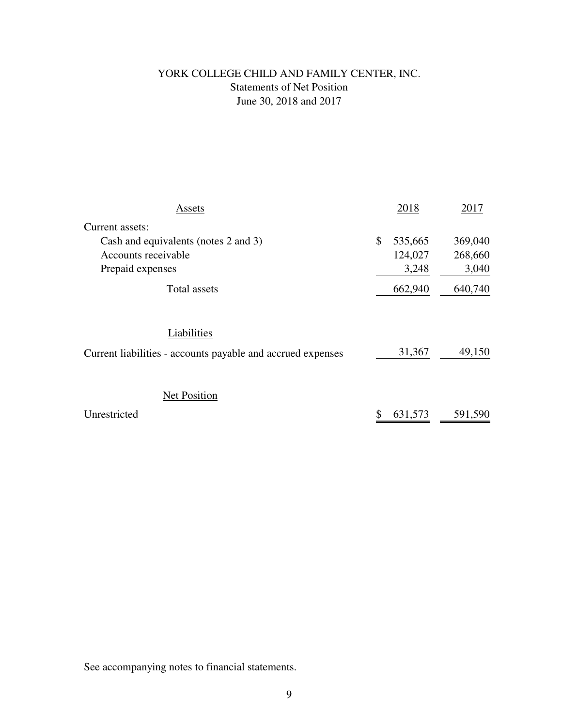# YORK COLLEGE CHILD AND FAMILY CENTER, INC. Statements of Net Position June 30, 2018 and 2017

| Assets                                                      | 2018          | 2017    |
|-------------------------------------------------------------|---------------|---------|
| Current assets:                                             |               |         |
| Cash and equivalents (notes 2 and 3)                        | \$<br>535,665 | 369,040 |
| Accounts receivable                                         | 124,027       | 268,660 |
| Prepaid expenses                                            | 3,248         | 3,040   |
| Total assets                                                | 662,940       | 640,740 |
| Liabilities                                                 |               |         |
| Current liabilities - accounts payable and accrued expenses | 31,367        | 49,150  |
| <b>Net Position</b>                                         |               |         |
| Unrestricted                                                | 631,573       | 591,590 |

See accompanying notes to financial statements.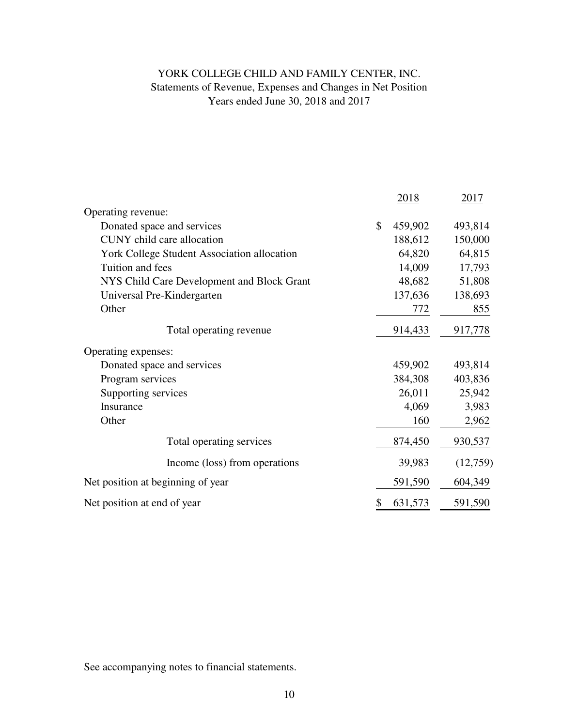# Years ended June 30, 2018 and 2017 YORK COLLEGE CHILD AND FAMILY CENTER, INC. Statements of Revenue, Expenses and Changes in Net Position

|                                                    | <u>2018</u>   | 2017     |
|----------------------------------------------------|---------------|----------|
| Operating revenue:                                 |               |          |
| Donated space and services                         | \$<br>459,902 | 493,814  |
| CUNY child care allocation                         | 188,612       | 150,000  |
| <b>York College Student Association allocation</b> | 64,820        | 64,815   |
| Tuition and fees                                   | 14,009        | 17,793   |
| NYS Child Care Development and Block Grant         | 48,682        | 51,808   |
| Universal Pre-Kindergarten                         | 137,636       | 138,693  |
| Other                                              | 772           | 855      |
| Total operating revenue                            | 914,433       | 917,778  |
| Operating expenses:                                |               |          |
| Donated space and services                         | 459,902       | 493,814  |
| Program services                                   | 384,308       | 403,836  |
| Supporting services                                | 26,011        | 25,942   |
| Insurance                                          | 4,069         | 3,983    |
| Other                                              | 160           | 2,962    |
| Total operating services                           | 874,450       | 930,537  |
| Income (loss) from operations                      | 39,983        | (12,759) |
| Net position at beginning of year                  | 591,590       | 604,349  |
| Net position at end of year                        | \$<br>631,573 | 591,590  |

See accompanying notes to financial statements.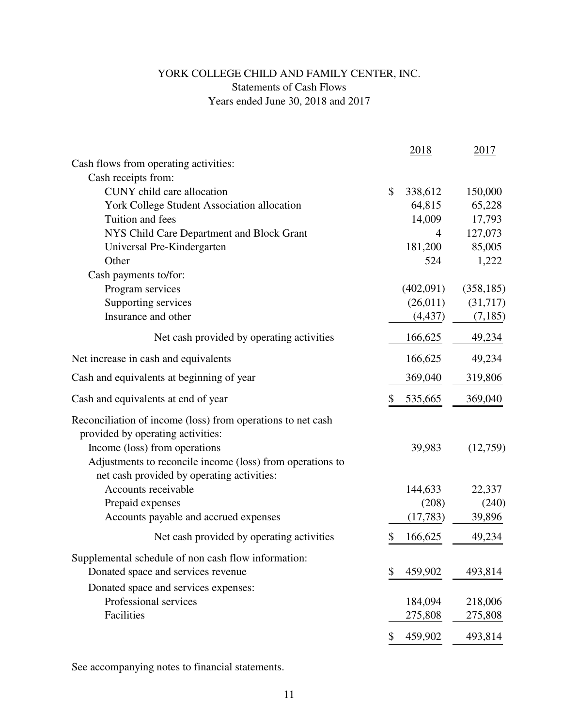# YORK COLLEGE CHILD AND FAMILY CENTER, INC. Statements of Cash Flows Years ended June 30, 2018 and 2017

|                                                             | <u>2018</u>   | <u>2017</u> |
|-------------------------------------------------------------|---------------|-------------|
| Cash flows from operating activities:                       |               |             |
| Cash receipts from:                                         |               |             |
| CUNY child care allocation                                  | \$<br>338,612 | 150,000     |
| York College Student Association allocation                 | 64,815        | 65,228      |
| Tuition and fees                                            | 14,009        | 17,793      |
| NYS Child Care Department and Block Grant                   | 4             | 127,073     |
| Universal Pre-Kindergarten                                  | 181,200       | 85,005      |
| Other                                                       | 524           | 1,222       |
| Cash payments to/for:                                       |               |             |
| Program services                                            | (402,091)     | (358, 185)  |
| Supporting services                                         | (26,011)      | (31,717)    |
| Insurance and other                                         | (4, 437)      | (7, 185)    |
| Net cash provided by operating activities                   | 166,625       | 49,234      |
| Net increase in cash and equivalents                        | 166,625       | 49,234      |
| Cash and equivalents at beginning of year                   | 369,040       | 319,806     |
| Cash and equivalents at end of year                         | \$<br>535,665 | 369,040     |
| Reconciliation of income (loss) from operations to net cash |               |             |
| provided by operating activities:                           |               |             |
| Income (loss) from operations                               | 39,983        | (12,759)    |
| Adjustments to reconcile income (loss) from operations to   |               |             |
| net cash provided by operating activities:                  |               |             |
| Accounts receivable                                         | 144,633       | 22,337      |
| Prepaid expenses                                            | (208)         | (240)       |
| Accounts payable and accrued expenses                       | (17, 783)     | 39,896      |
| Net cash provided by operating activities                   | \$<br>166,625 | 49,234      |
| Supplemental schedule of non cash flow information:         |               |             |
| Donated space and services revenue                          | \$<br>459,902 | 493,814     |
| Donated space and services expenses:                        |               |             |
| Professional services                                       | 184,094       | 218,006     |
| Facilities                                                  | 275,808       | 275,808     |
|                                                             | \$<br>459,902 | 493,814     |

See accompanying notes to financial statements.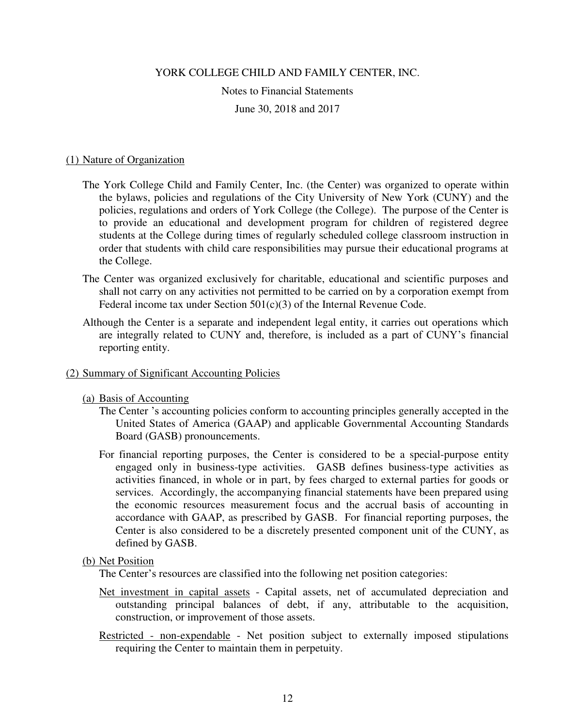Notes to Financial Statements

June 30, 2018 and 2017

#### (1) Nature of Organization

- The York College Child and Family Center, Inc. (the Center) was organized to operate within the bylaws, policies and regulations of the City University of New York (CUNY) and the policies, regulations and orders of York College (the College). The purpose of the Center is to provide an educational and development program for children of registered degree students at the College during times of regularly scheduled college classroom instruction in order that students with child care responsibilities may pursue their educational programs at the College.
- The Center was organized exclusively for charitable, educational and scientific purposes and shall not carry on any activities not permitted to be carried on by a corporation exempt from Federal income tax under Section  $501(c)(3)$  of the Internal Revenue Code.
- Although the Center is a separate and independent legal entity, it carries out operations which are integrally related to CUNY and, therefore, is included as a part of CUNY's financial reporting entity.

## (2) Summary of Significant Accounting Policies

- (a) Basis of Accounting
	- The Center 's accounting policies conform to accounting principles generally accepted in the United States of America (GAAP) and applicable Governmental Accounting Standards Board (GASB) pronouncements.
	- For financial reporting purposes, the Center is considered to be a special-purpose entity engaged only in business-type activities. GASB defines business-type activities as activities financed, in whole or in part, by fees charged to external parties for goods or services. Accordingly, the accompanying financial statements have been prepared using the economic resources measurement focus and the accrual basis of accounting in accordance with GAAP, as prescribed by GASB. For financial reporting purposes, the Center is also considered to be a discretely presented component unit of the CUNY, as defined by GASB.

#### (b) Net Position

The Center's resources are classified into the following net position categories:

- Net investment in capital assets Capital assets, net of accumulated depreciation and outstanding principal balances of debt, if any, attributable to the acquisition, construction, or improvement of those assets.
- Restricted non-expendable Net position subject to externally imposed stipulations requiring the Center to maintain them in perpetuity.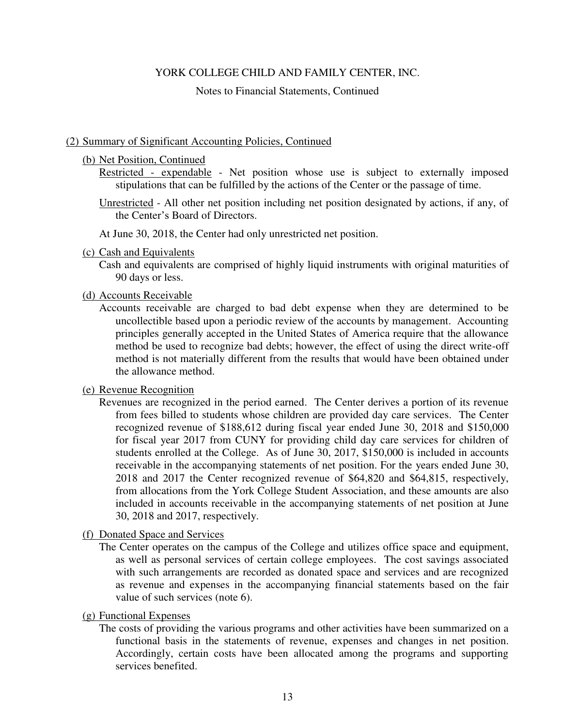## Notes to Financial Statements, Continued

#### (2) Summary of Significant Accounting Policies, Continued

#### (b) Net Position, Continued

- Restricted expendable Net position whose use is subject to externally imposed stipulations that can be fulfilled by the actions of the Center or the passage of time.
- Unrestricted All other net position including net position designated by actions, if any, of the Center's Board of Directors.

At June 30, 2018, the Center had only unrestricted net position.

(c) Cash and Equivalents

 Cash and equivalents are comprised of highly liquid instruments with original maturities of 90 days or less.

#### (d) Accounts Receivable

 Accounts receivable are charged to bad debt expense when they are determined to be uncollectible based upon a periodic review of the accounts by management. Accounting principles generally accepted in the United States of America require that the allowance method be used to recognize bad debts; however, the effect of using the direct write-off method is not materially different from the results that would have been obtained under the allowance method.

# (e) Revenue Recognition

 Revenues are recognized in the period earned. The Center derives a portion of its revenue from fees billed to students whose children are provided day care services. The Center recognized revenue of \$188,612 during fiscal year ended June 30, 2018 and \$150,000 for fiscal year 2017 from CUNY for providing child day care services for children of students enrolled at the College. As of June 30, 2017, \$150,000 is included in accounts receivable in the accompanying statements of net position. For the years ended June 30, 2018 and 2017 the Center recognized revenue of \$64,820 and \$64,815, respectively, from allocations from the York College Student Association, and these amounts are also included in accounts receivable in the accompanying statements of net position at June 30, 2018 and 2017, respectively.

## (f) Donated Space and Services

 The Center operates on the campus of the College and utilizes office space and equipment, as well as personal services of certain college employees. The cost savings associated with such arrangements are recorded as donated space and services and are recognized as revenue and expenses in the accompanying financial statements based on the fair value of such services (note 6).

## (g) Functional Expenses

 The costs of providing the various programs and other activities have been summarized on a functional basis in the statements of revenue, expenses and changes in net position. Accordingly, certain costs have been allocated among the programs and supporting services benefited.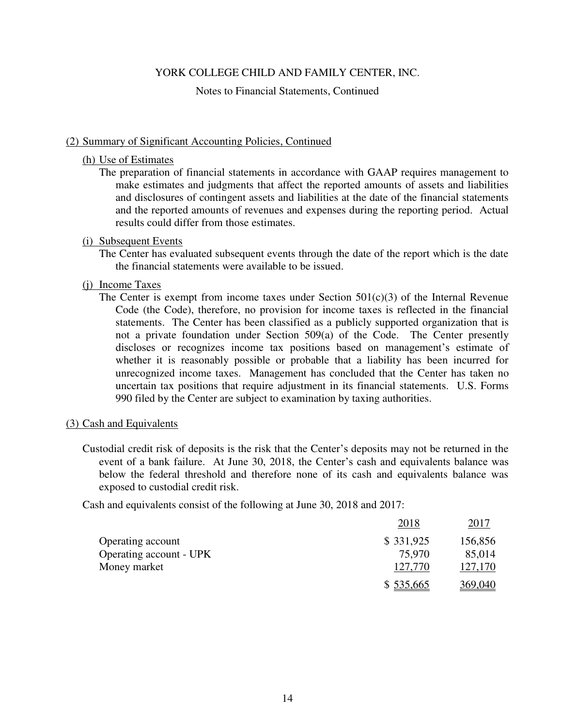Notes to Financial Statements, Continued

## (2) Summary of Significant Accounting Policies, Continued

#### (h) Use of Estimates

 The preparation of financial statements in accordance with GAAP requires management to make estimates and judgments that affect the reported amounts of assets and liabilities and disclosures of contingent assets and liabilities at the date of the financial statements and the reported amounts of revenues and expenses during the reporting period. Actual results could differ from those estimates.

#### (i) Subsequent Events

 The Center has evaluated subsequent events through the date of the report which is the date the financial statements were available to be issued.

## (j) Income Taxes

The Center is exempt from income taxes under Section  $501(c)(3)$  of the Internal Revenue Code (the Code), therefore, no provision for income taxes is reflected in the financial statements. The Center has been classified as a publicly supported organization that is not a private foundation under Section 509(a) of the Code. The Center presently discloses or recognizes income tax positions based on management's estimate of whether it is reasonably possible or probable that a liability has been incurred for unrecognized income taxes. Management has concluded that the Center has taken no uncertain tax positions that require adjustment in its financial statements. U.S. Forms 990 filed by the Center are subject to examination by taxing authorities.

## (3) Cash and Equivalents

 Custodial credit risk of deposits is the risk that the Center's deposits may not be returned in the event of a bank failure. At June 30, 2018, the Center's cash and equivalents balance was below the federal threshold and therefore none of its cash and equivalents balance was exposed to custodial credit risk.

Cash and equivalents consist of the following at June 30, 2018 and 2017:

|                         | 2018      | <u>2017</u>    |
|-------------------------|-----------|----------------|
| Operating account       | \$331,925 | 156,856        |
| Operating account - UPK | 75,970    | 85,014         |
| Money market            | 127,770   | 127,170        |
|                         | \$35,665  | <u>369,040</u> |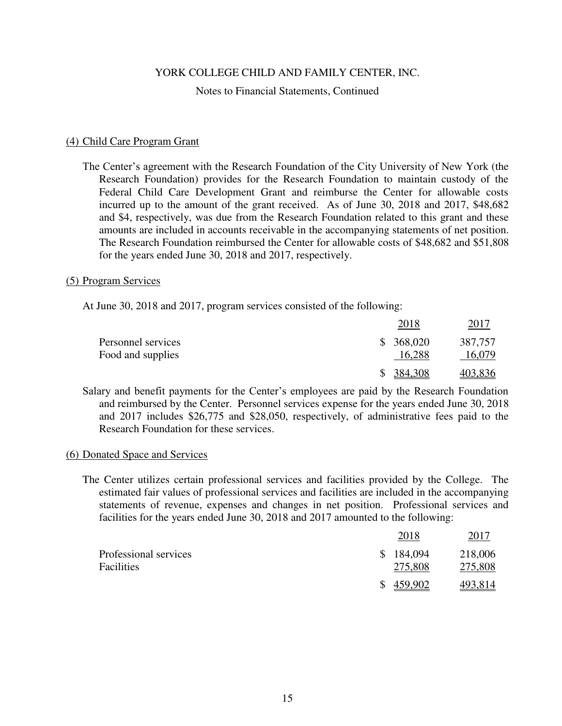## Notes to Financial Statements, Continued

## (4) Child Care Program Grant

The Center's agreement with the Research Foundation of the City University of New York (the Research Foundation) provides for the Research Foundation to maintain custody of the Federal Child Care Development Grant and reimburse the Center for allowable costs incurred up to the amount of the grant received. As of June 30, 2018 and 2017, \$48,682 and \$4, respectively, was due from the Research Foundation related to this grant and these amounts are included in accounts receivable in the accompanying statements of net position. The Research Foundation reimbursed the Center for allowable costs of \$48,682 and \$51,808 for the years ended June 30, 2018 and 2017, respectively.

#### (5) Program Services

At June 30, 2018 and 2017, program services consisted of the following:

|                    | 2018         | 2017           |
|--------------------|--------------|----------------|
| Personnel services | \$368,020    | 387,757        |
| Food and supplies  | 16,288       | 16,079         |
|                    | 384,308<br>S | <u>403,836</u> |

Salary and benefit payments for the Center's employees are paid by the Research Foundation and reimbursed by the Center. Personnel services expense for the years ended June 30, 2018 and 2017 includes \$26,775 and \$28,050, respectively, of administrative fees paid to the Research Foundation for these services.

#### (6) Donated Space and Services

 The Center utilizes certain professional services and facilities provided by the College. The estimated fair values of professional services and facilities are included in the accompanying statements of revenue, expenses and changes in net position. Professional services and facilities for the years ended June 30, 2018 and 2017 amounted to the following:

|                       | 2018                    | 2017    |
|-----------------------|-------------------------|---------|
| Professional services | 184,094<br>$\mathbb{S}$ | 218,006 |
| <b>Facilities</b>     | 275,808                 | 275,808 |
|                       | 459.902<br>S            | 493,814 |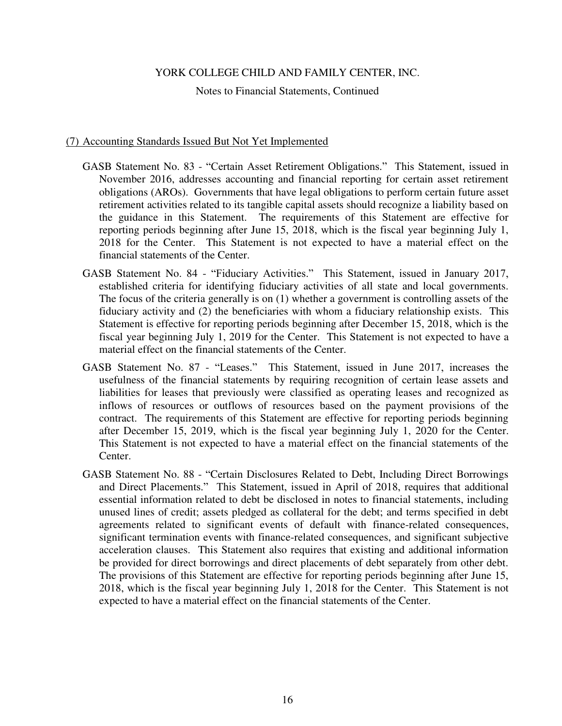Notes to Financial Statements, Continued

## (7) Accounting Standards Issued But Not Yet Implemented

- GASB Statement No. 83 "Certain Asset Retirement Obligations." This Statement, issued in November 2016, addresses accounting and financial reporting for certain asset retirement obligations (AROs). Governments that have legal obligations to perform certain future asset retirement activities related to its tangible capital assets should recognize a liability based on the guidance in this Statement. The requirements of this Statement are effective for reporting periods beginning after June 15, 2018, which is the fiscal year beginning July 1, 2018 for the Center. This Statement is not expected to have a material effect on the financial statements of the Center.
- GASB Statement No. 84 "Fiduciary Activities." This Statement, issued in January 2017, established criteria for identifying fiduciary activities of all state and local governments. The focus of the criteria generally is on (1) whether a government is controlling assets of the fiduciary activity and (2) the beneficiaries with whom a fiduciary relationship exists. This Statement is effective for reporting periods beginning after December 15, 2018, which is the fiscal year beginning July 1, 2019 for the Center. This Statement is not expected to have a material effect on the financial statements of the Center.
- GASB Statement No. 87 "Leases." This Statement, issued in June 2017, increases the usefulness of the financial statements by requiring recognition of certain lease assets and liabilities for leases that previously were classified as operating leases and recognized as inflows of resources or outflows of resources based on the payment provisions of the contract. The requirements of this Statement are effective for reporting periods beginning after December 15, 2019, which is the fiscal year beginning July 1, 2020 for the Center. This Statement is not expected to have a material effect on the financial statements of the Center.
- GASB Statement No. 88 "Certain Disclosures Related to Debt, Including Direct Borrowings and Direct Placements." This Statement, issued in April of 2018, requires that additional essential information related to debt be disclosed in notes to financial statements, including unused lines of credit; assets pledged as collateral for the debt; and terms specified in debt agreements related to significant events of default with finance-related consequences, significant termination events with finance-related consequences, and significant subjective acceleration clauses. This Statement also requires that existing and additional information be provided for direct borrowings and direct placements of debt separately from other debt. The provisions of this Statement are effective for reporting periods beginning after June 15, 2018, which is the fiscal year beginning July 1, 2018 for the Center. This Statement is not expected to have a material effect on the financial statements of the Center.